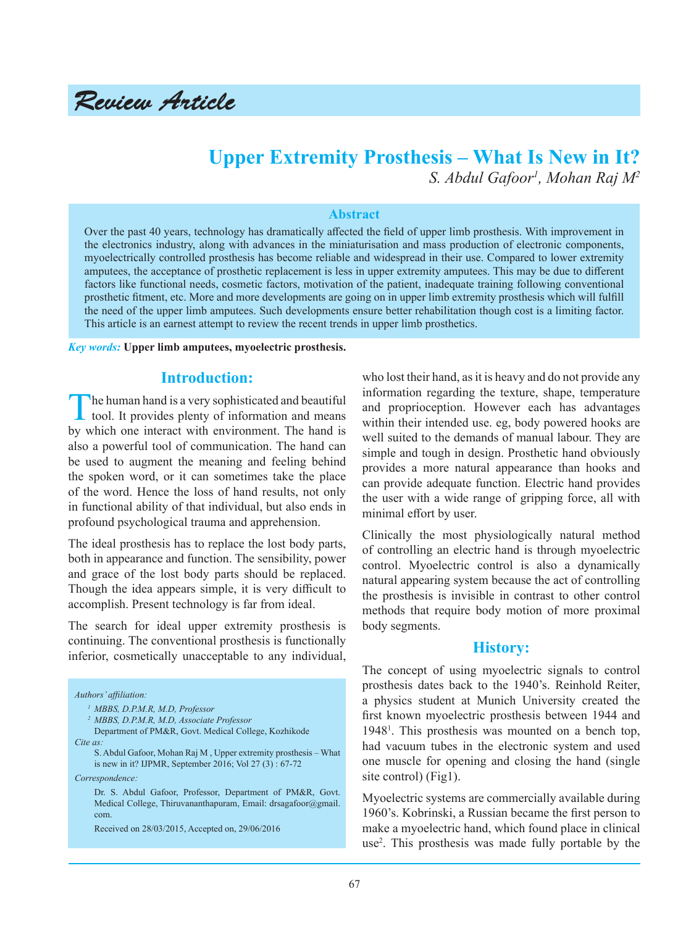Review Article

# **Upper Extremity Prosthesis – What Is New in It?** *S. Abdul Gafoor1 , Mohan Raj M2*

#### **Abstract**

Over the past 40 years, technology has dramatically affected the field of upper limb prosthesis. With improvement in the electronics industry, along with advances in the miniaturisation and mass production of electronic components, myoelectrically controlled prosthesis has become reliable and widespread in their use. Compared to lower extremity amputees, the acceptance of prosthetic replacement is less in upper extremity amputees. This may be due to different factors like functional needs, cosmetic factors, motivation of the patient, inadequate training following conventional prosthetic fitment, etc. More and more developments are going on in upper limb extremity prosthesis which will fulfill the need of the upper limb amputees. Such developments ensure better rehabilitation though cost is a limiting factor. This article is an earnest attempt to review the recent trends in upper limb prosthetics.

*Key words:* **Upper limb amputees, myoelectric prosthesis.** 

### **Introduction:**

The human hand is a very sophisticated and beautiful tool. It provides plenty of information and means by which one interact with environment. The hand is also a powerful tool of communication. The hand can be used to augment the meaning and feeling behind the spoken word, or it can sometimes take the place of the word. Hence the loss of hand results, not only in functional ability of that individual, but also ends in profound psychological trauma and apprehension.

The ideal prosthesis has to replace the lost body parts, both in appearance and function. The sensibility, power and grace of the lost body parts should be replaced. Though the idea appears simple, it is very difficult to accomplish. Present technology is far from ideal.

The search for ideal upper extremity prosthesis is continuing. The conventional prosthesis is functionally inferior, cosmetically unacceptable to any individual,

*Authors' affiliation: 1 MBBS, D.P.M.R, M.D, Professor <sup>2</sup>MBBS, D.P.M.R, M.D, Associate Professor* Department of PM&R, Govt. Medical College, Kozhikode *Cite as:* S. Abdul Gafoor, Mohan Raj M , Upper extremity prosthesis – What is new in it? IJPMR, September 2016; Vol 27 (3) : 67-72 *Correspondence:* Dr. S. Abdul Gafoor, Professor, Department of PM&R, Govt. Medical College, Thiruvananthapuram, Email: drsagafoor@gmail. com.

who lost their hand, as it is heavy and do not provide any information regarding the texture, shape, temperature and proprioception. However each has advantages within their intended use. eg, body powered hooks are well suited to the demands of manual labour. They are simple and tough in design. Prosthetic hand obviously provides a more natural appearance than hooks and can provide adequate function. Electric hand provides the user with a wide range of gripping force, all with minimal effort by user.

Clinically the most physiologically natural method of controlling an electric hand is through myoelectric control. Myoelectric control is also a dynamically natural appearing system because the act of controlling the prosthesis is invisible in contrast to other control methods that require body motion of more proximal body segments.

#### **History:**

The concept of using myoelectric signals to control prosthesis dates back to the 1940's. Reinhold Reiter, a physics student at Munich University created the first known myoelectric prosthesis between 1944 and 19481 . This prosthesis was mounted on a bench top, had vacuum tubes in the electronic system and used one muscle for opening and closing the hand (single site control) (Fig1).

Myoelectric systems are commercially available during 1960's. Kobrinski, a Russian became the first person to make a myoelectric hand, which found place in clinical use2 . This prosthesis was made fully portable by the

Received on 28/03/2015, Accepted on, 29/06/2016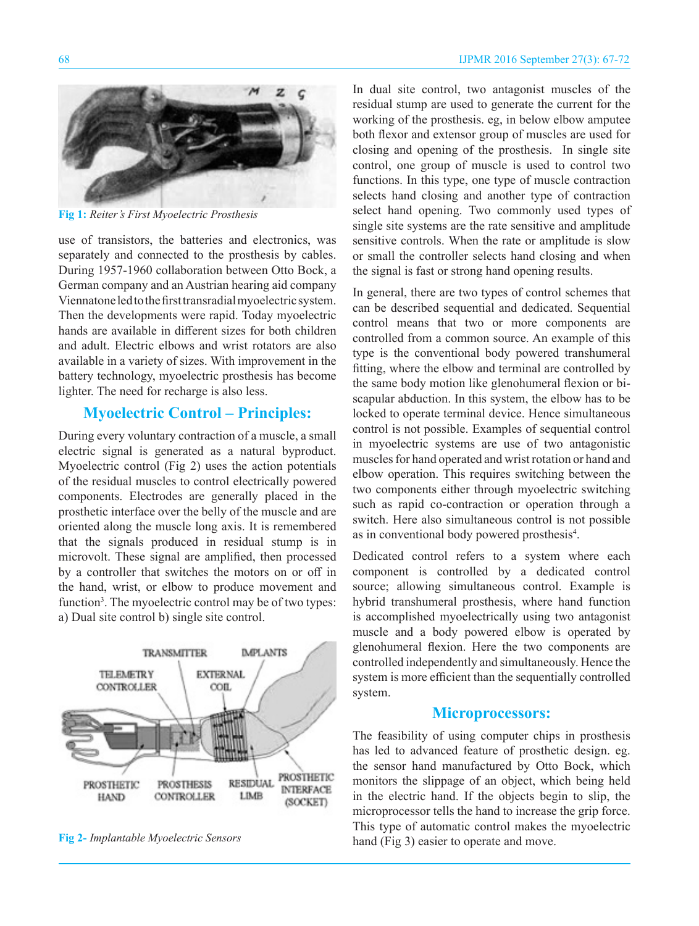

**Fig 1:** *Reiter's First Myoelectric Prosthesis*

use of transistors, the batteries and electronics, was separately and connected to the prosthesis by cables. During 1957-1960 collaboration between Otto Bock, a German company and an Austrian hearing aid company Viennatone led to the first transradial myoelectric system. Then the developments were rapid. Today myoelectric hands are available in different sizes for both children and adult. Electric elbows and wrist rotators are also available in a variety of sizes. With improvement in the battery technology, myoelectric prosthesis has become lighter. The need for recharge is also less.

### **Myoelectric Control – Principles:**

During every voluntary contraction of a muscle, a small electric signal is generated as a natural byproduct. Myoelectric control (Fig 2) uses the action potentials of the residual muscles to control electrically powered components. Electrodes are generally placed in the prosthetic interface over the belly of the muscle and are oriented along the muscle long axis. It is remembered that the signals produced in residual stump is in microvolt. These signal are amplified, then processed by a controller that switches the motors on or off in the hand, wrist, or elbow to produce movement and function<sup>3</sup>. The myoelectric control may be of two types: a) Dual site control b) single site control.



**Fig 2-** *Implantable Myoelectric Sensors*

In dual site control, two antagonist muscles of the residual stump are used to generate the current for the working of the prosthesis. eg, in below elbow amputee both flexor and extensor group of muscles are used for closing and opening of the prosthesis. In single site control, one group of muscle is used to control two functions. In this type, one type of muscle contraction selects hand closing and another type of contraction select hand opening. Two commonly used types of single site systems are the rate sensitive and amplitude sensitive controls. When the rate or amplitude is slow or small the controller selects hand closing and when the signal is fast or strong hand opening results.

In general, there are two types of control schemes that can be described sequential and dedicated. Sequential control means that two or more components are controlled from a common source. An example of this type is the conventional body powered transhumeral fitting, where the elbow and terminal are controlled by the same body motion like glenohumeral flexion or biscapular abduction. In this system, the elbow has to be locked to operate terminal device. Hence simultaneous control is not possible. Examples of sequential control in myoelectric systems are use of two antagonistic muscles for hand operated and wrist rotation or hand and elbow operation. This requires switching between the two components either through myoelectric switching such as rapid co-contraction or operation through a switch. Here also simultaneous control is not possible as in conventional body powered prosthesis<sup>4</sup>.

Dedicated control refers to a system where each component is controlled by a dedicated control source; allowing simultaneous control. Example is hybrid transhumeral prosthesis, where hand function is accomplished myoelectrically using two antagonist muscle and a body powered elbow is operated by glenohumeral flexion. Here the two components are controlled independently and simultaneously. Hence the system is more efficient than the sequentially controlled system.

#### **Microprocessors:**

The feasibility of using computer chips in prosthesis has led to advanced feature of prosthetic design. eg. the sensor hand manufactured by Otto Bock, which monitors the slippage of an object, which being held in the electric hand. If the objects begin to slip, the microprocessor tells the hand to increase the grip force. This type of automatic control makes the myoelectric hand (Fig 3) easier to operate and move.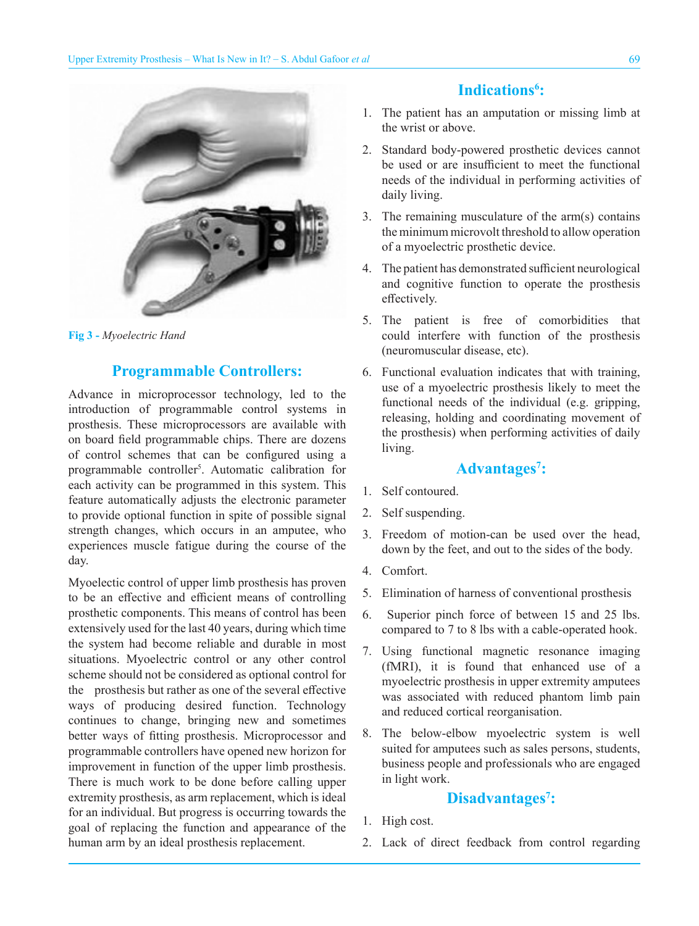

**Fig 3 -** *Myoelectric Hand*

#### **Programmable Controllers:**

Advance in microprocessor technology, led to the introduction of programmable control systems in prosthesis. These microprocessors are available with on board field programmable chips. There are dozens of control schemes that can be configured using a programmable controller<sup>5</sup>. Automatic calibration for each activity can be programmed in this system. This feature automatically adjusts the electronic parameter to provide optional function in spite of possible signal strength changes, which occurs in an amputee, who experiences muscle fatigue during the course of the day.

Myoelectic control of upper limb prosthesis has proven to be an effective and efficient means of controlling prosthetic components. This means of control has been extensively used for the last 40 years, during which time the system had become reliable and durable in most situations. Myoelectric control or any other control scheme should not be considered as optional control for the prosthesis but rather as one of the several effective ways of producing desired function. Technology continues to change, bringing new and sometimes better ways of fitting prosthesis. Microprocessor and programmable controllers have opened new horizon for improvement in function of the upper limb prosthesis. There is much work to be done before calling upper extremity prosthesis, as arm replacement, which is ideal for an individual. But progress is occurring towards the goal of replacing the function and appearance of the human arm by an ideal prosthesis replacement.

# Indications<sup>6</sup>:

- 1. The patient has an amputation or missing limb at the wrist or above.
- 2. Standard body-powered prosthetic devices cannot be used or are insufficient to meet the functional needs of the individual in performing activities of daily living.
- 3. The remaining musculature of the arm(s) contains the minimum microvolt threshold to allow operation of a myoelectric prosthetic device.
- 4. The patient has demonstrated sufficient neurological and cognitive function to operate the prosthesis effectively.
- 5. The patient is free of comorbidities that could interfere with function of the prosthesis (neuromuscular disease, etc).
- 6. Functional evaluation indicates that with training, use of a myoelectric prosthesis likely to meet the functional needs of the individual (e.g. gripping, releasing, holding and coordinating movement of the prosthesis) when performing activities of daily living.

# **Advantages7 :**

- 1. Self contoured.
- 2. Self suspending.
- 3. Freedom of motion-can be used over the head, down by the feet, and out to the sides of the body.
- 4. Comfort.
- 5. Elimination of harness of conventional prosthesis
- 6. Superior pinch force of between 15 and 25 lbs. compared to 7 to 8 lbs with a cable-operated hook.
- 7. Using functional magnetic resonance imaging (fMRI), it is found that enhanced use of a myoelectric prosthesis in upper extremity amputees was associated with reduced phantom limb pain and reduced cortical reorganisation.
- 8. The below-elbow myoelectric system is well suited for amputees such as sales persons, students, business people and professionals who are engaged in light work.

# Disadvantages<sup>7</sup>:

- 1. High cost.
- 2. Lack of direct feedback from control regarding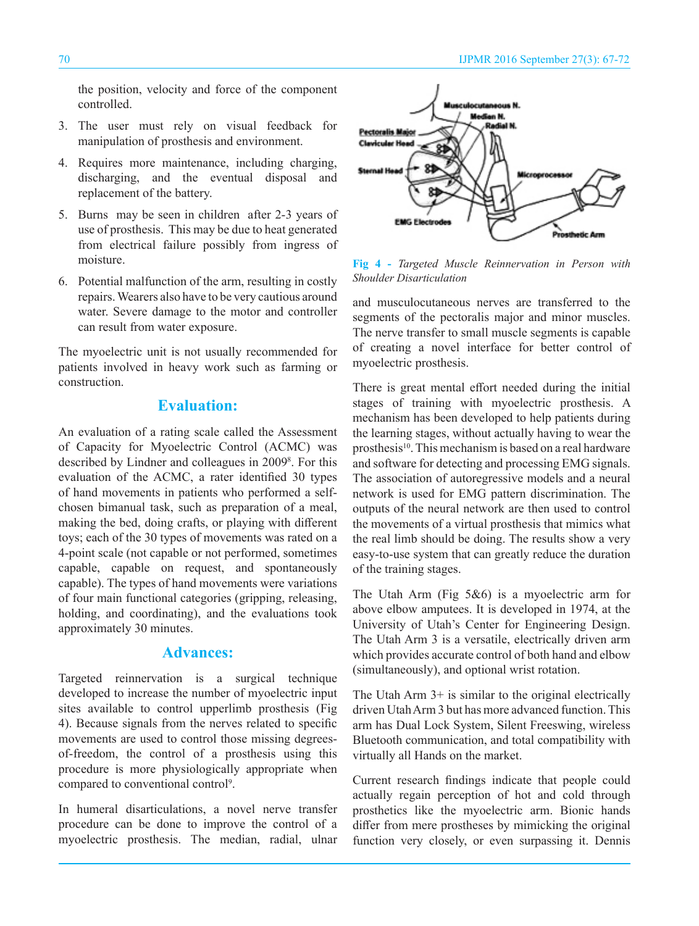the position, velocity and force of the component controlled.

- 3. The user must rely on visual feedback for manipulation of prosthesis and environment.
- 4. Requires more maintenance, including charging, discharging, and the eventual disposal and replacement of the battery.
- 5. Burns may be seen in children after 2-3 years of use of prosthesis. This may be due to heat generated from electrical failure possibly from ingress of moisture.
- 6. Potential malfunction of the arm, resulting in costly repairs. Wearers also have to be very cautious around water. Severe damage to the motor and controller can result from water exposure.

The myoelectric unit is not usually recommended for patients involved in heavy work such as farming or construction.

### **Evaluation:**

An evaluation of a rating scale called the Assessment of Capacity for Myoelectric Control (ACMC) was described by Lindner and colleagues in 2009<sup>8</sup>. For this evaluation of the ACMC, a rater identified 30 types of hand movements in patients who performed a selfchosen bimanual task, such as preparation of a meal, making the bed, doing crafts, or playing with different toys; each of the 30 types of movements was rated on a 4-point scale (not capable or not performed, sometimes capable, capable on request, and spontaneously capable). The types of hand movements were variations of four main functional categories (gripping, releasing, holding, and coordinating), and the evaluations took approximately 30 minutes.

#### **Advances:**

Targeted reinnervation is a surgical technique developed to increase the number of myoelectric input sites available to control upperlimb prosthesis (Fig 4). Because signals from the nerves related to specific movements are used to control those missing degreesof-freedom, the control of a prosthesis using this procedure is more physiologically appropriate when compared to conventional control<sup>9</sup>.

In humeral disarticulations, a novel nerve transfer procedure can be done to improve the control of a myoelectric prosthesis. The median, radial, ulnar



**Fig 4 -** *Targeted Muscle Reinnervation in Person with Shoulder Disarticulation*

and musculocutaneous nerves are transferred to the segments of the pectoralis major and minor muscles. The nerve transfer to small muscle segments is capable of creating a novel interface for better control of myoelectric prosthesis.

There is great mental effort needed during the initial stages of training with myoelectric prosthesis. A mechanism has been developed to help patients during the learning stages, without actually having to wear the prosthesis<sup>10</sup>. This mechanism is based on a real hardware and software for detecting and processing EMG signals. The association of autoregressive models and a neural network is used for EMG pattern discrimination. The outputs of the neural network are then used to control the movements of a virtual prosthesis that mimics what the real limb should be doing. The results show a very easy-to-use system that can greatly reduce the duration of the training stages.

The Utah Arm (Fig 5&6) is a myoelectric arm for above elbow amputees. It is developed in 1974, at the University of Utah's Center for Engineering Design. The Utah Arm 3 is a versatile, electrically driven arm which provides accurate control of both hand and elbow (simultaneously), and optional wrist rotation.

The Utah Arm 3+ is similar to the original electrically driven Utah Arm 3 but has more advanced function. This arm has Dual Lock System, Silent Freeswing, wireless Bluetooth communication, and total compatibility with virtually all Hands on the market.

Current research findings indicate that people could actually regain perception of hot and cold through prosthetics like the myoelectric arm. Bionic hands differ from mere prostheses by mimicking the original function very closely, or even surpassing it. Dennis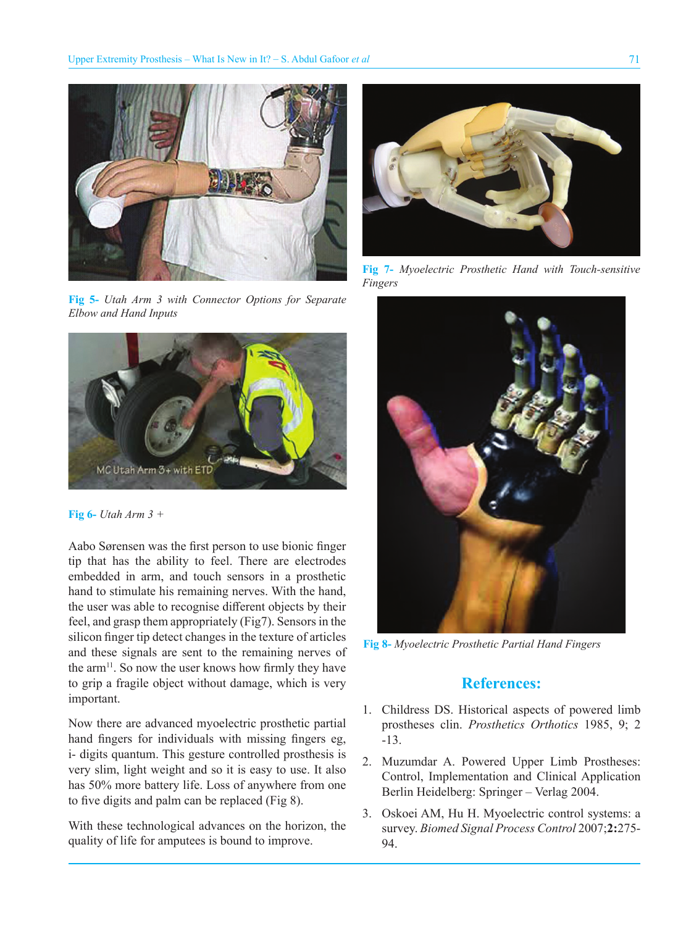

**Fig 5-** *Utah Arm 3 with Connector Options for Separate Elbow and Hand Inputs*



**Fig 6-** *Utah Arm 3 +*

Aabo Sørensen was the first person to use bionic finger tip that has the ability to feel. There are electrodes embedded in arm, and touch sensors in a prosthetic hand to stimulate his remaining nerves. With the hand, the user was able to recognise different objects by their feel, and grasp them appropriately (Fig7). Sensors in the silicon finger tip detect changes in the texture of articles and these signals are sent to the remaining nerves of the arm $^{11}$ . So now the user knows how firmly they have to grip a fragile object without damage, which is very important.

Now there are advanced myoelectric prosthetic partial hand fingers for individuals with missing fingers eg, i- digits quantum. This gesture controlled prosthesis is very slim, light weight and so it is easy to use. It also has 50% more battery life. Loss of anywhere from one to five digits and palm can be replaced (Fig 8).

With these technological advances on the horizon, the quality of life for amputees is bound to improve.



**Fig 7-** *Myoelectric Prosthetic Hand with Touch-sensitive Fingers*



**Fig 8-** *Myoelectric Prosthetic Partial Hand Fingers*

### **References:**

- 1. Childress DS. Historical aspects of powered limb prostheses clin. *Prosthetics Orthotics* 1985, 9; 2 -13.
- 2. Muzumdar A. Powered Upper Limb Prostheses: Control, Implementation and Clinical Application Berlin Heidelberg: Springer – Verlag 2004.
- 3. Oskoei AM, Hu H. Myoelectric control systems: a survey. *Biomed Signal Process Control* 2007;**2:**275- 94.